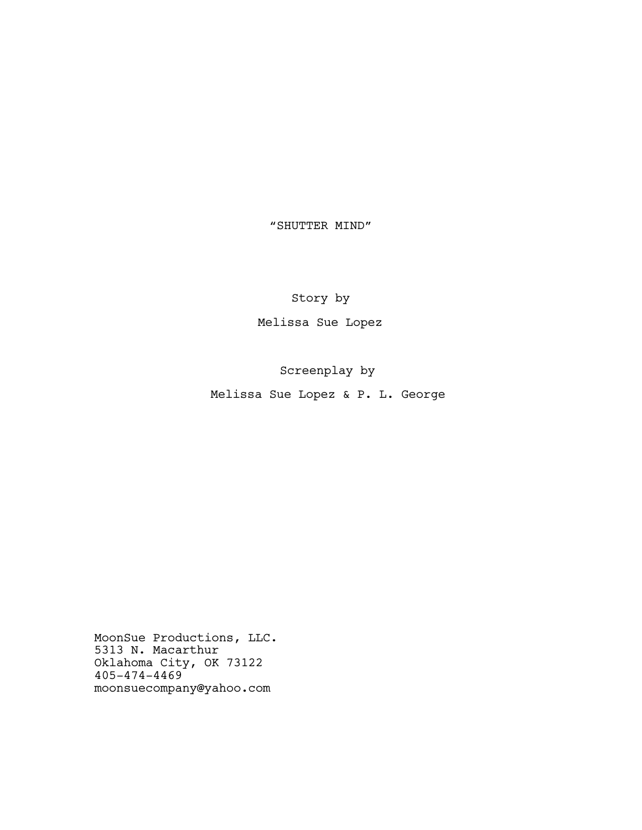"SHUTTER MIND"

Story by

Melissa Sue Lopez

Screenplay by

Melissa Sue Lopez & P. L. George

MoonSue Productions, LLC. 5313 N. Macarthur Oklahoma City, OK 73122 405-474-4469 moonsuecompany@yahoo.com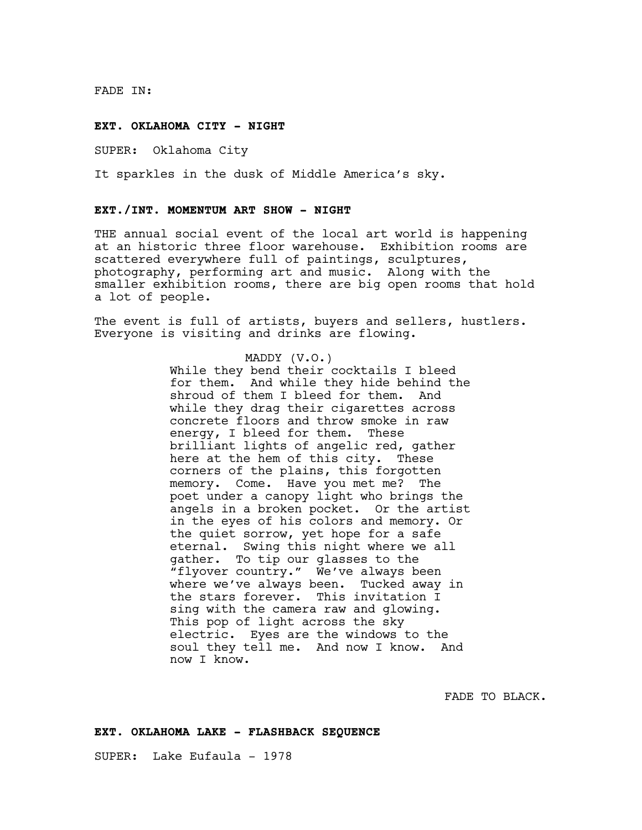FADE IN:

#### **EXT. OKLAHOMA CITY - NIGHT**

SUPER: Oklahoma City

It sparkles in the dusk of Middle America's sky.

### **EXT./INT. MOMENTUM ART SHOW - NIGHT**

THE annual social event of the local art world is happening at an historic three floor warehouse. Exhibition rooms are scattered everywhere full of paintings, sculptures, photography, performing art and music. Along with the smaller exhibition rooms, there are big open rooms that hold a lot of people.

The event is full of artists, buyers and sellers, hustlers. Everyone is visiting and drinks are flowing.

# MADDY (V.O.)

While they bend their cocktails I bleed for them. And while they hide behind the shroud of them I bleed for them. And while they drag their cigarettes across concrete floors and throw smoke in raw energy, I bleed for them. These brilliant lights of angelic red, gather here at the hem of this city. These corners of the plains, this forgotten memory. Come. Have you met me? The poet under a canopy light who brings the angels in a broken pocket. Or the artist in the eyes of his colors and memory. Or the quiet sorrow, yet hope for a safe eternal. Swing this night where we all gather. To tip our glasses to the "flyover country." We've always been where we've always been. Tucked away in the stars forever. This invitation I sing with the camera raw and glowing. This pop of light across the sky electric. Eyes are the windows to the soul they tell me. And now I know. And now I know.

FADE TO BLACK.

## **EXT. OKLAHOMA LAKE - FLASHBACK SEQUENCE**

SUPER: Lake Eufaula - 1978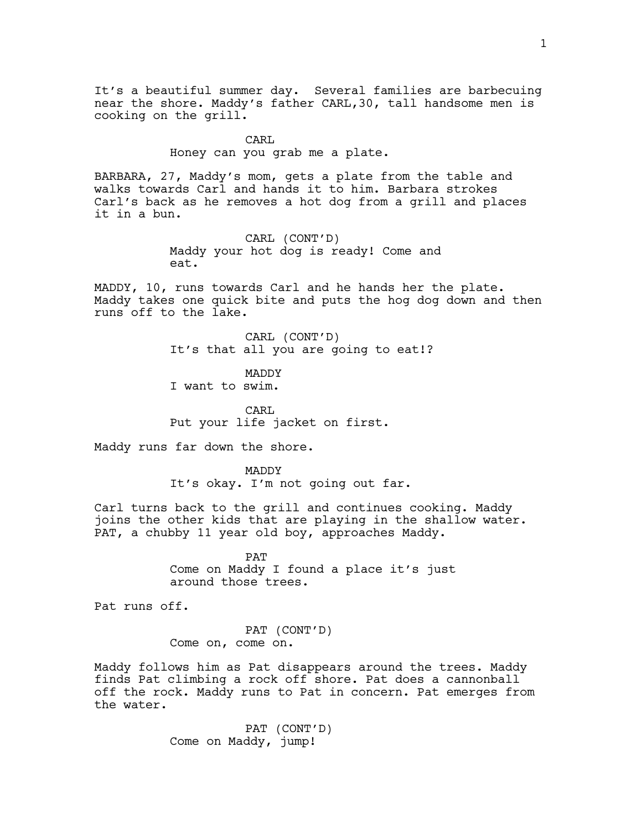It's a beautiful summer day. Several families are barbecuing near the shore. Maddy's father CARL,30, tall handsome men is cooking on the grill.

> CARL Honey can you grab me a plate.

BARBARA, 27, Maddy's mom, gets a plate from the table and walks towards Carl and hands it to him. Barbara strokes Carl's back as he removes a hot dog from a grill and places it in a bun.

> CARL (CONT'D) Maddy your hot dog is ready! Come and eat.

MADDY, 10, runs towards Carl and he hands her the plate. Maddy takes one quick bite and puts the hog dog down and then runs off to the lake.

> CARL (CONT'D) It's that all you are going to eat!?

MADDY I want to swim.

CARL Put your life jacket on first.

Maddy runs far down the shore.

MADDY It's okay. I'm not going out far.

Carl turns back to the grill and continues cooking. Maddy joins the other kids that are playing in the shallow water. PAT, a chubby 11 year old boy, approaches Maddy.

> PAT Come on Maddy I found a place it's just around those trees.

Pat runs off.

PAT (CONT'D) Come on, come on.

Maddy follows him as Pat disappears around the trees. Maddy finds Pat climbing a rock off shore. Pat does a cannonball off the rock. Maddy runs to Pat in concern. Pat emerges from the water.

> PAT (CONT'D) Come on Maddy, jump!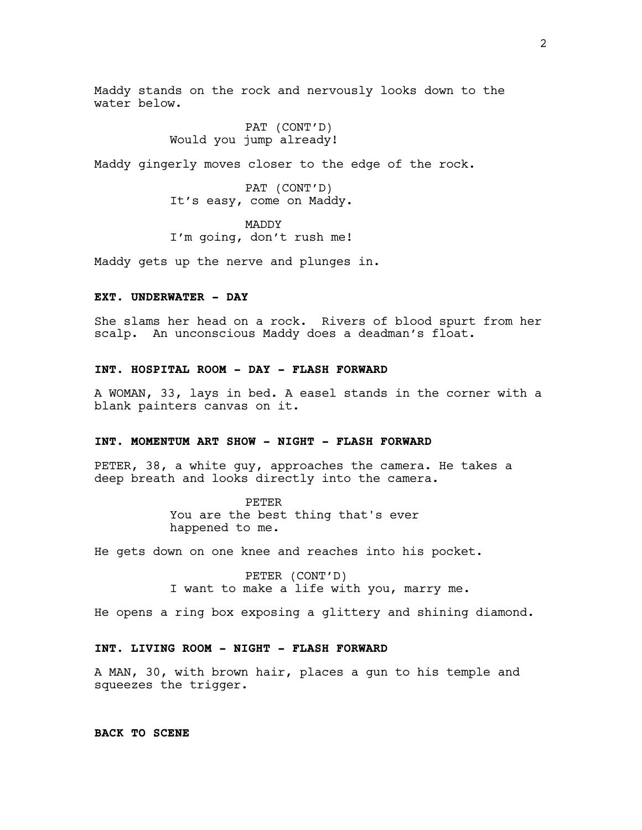Maddy stands on the rock and nervously looks down to the water below.

> PAT (CONT'D) Would you jump already!

Maddy gingerly moves closer to the edge of the rock.

PAT (CONT'D) It's easy, come on Maddy.

MADDY I'm going, don't rush me!

Maddy gets up the nerve and plunges in.

# **EXT. UNDERWATER - DAY**

She slams her head on a rock. Rivers of blood spurt from her scalp. An unconscious Maddy does a deadman's float.

## **INT. HOSPITAL ROOM - DAY - FLASH FORWARD**

A WOMAN, 33, lays in bed. A easel stands in the corner with a blank painters canvas on it.

## **INT. MOMENTUM ART SHOW - NIGHT - FLASH FORWARD**

PETER, 38, a white guy, approaches the camera. He takes a deep breath and looks directly into the camera.

> PETER You are the best thing that's ever happened to me.

He gets down on one knee and reaches into his pocket.

PETER (CONT'D) I want to make a life with you, marry me.

He opens a ring box exposing a glittery and shining diamond.

## **INT. LIVING ROOM - NIGHT - FLASH FORWARD**

A MAN, 30, with brown hair, places a gun to his temple and squeezes the trigger.

**BACK TO SCENE**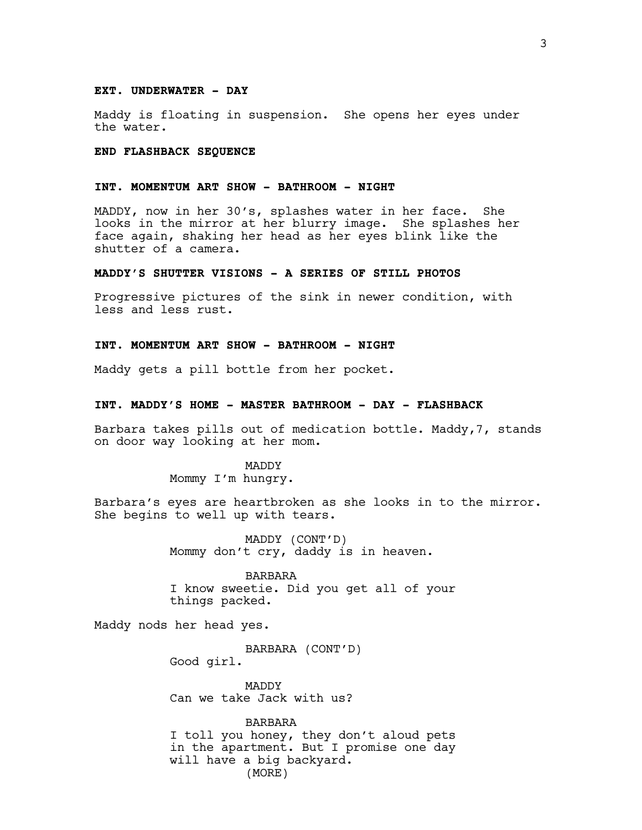#### **EXT. UNDERWATER - DAY**

Maddy is floating in suspension. She opens her eyes under the water.

### **END FLASHBACK SEQUENCE**

## **INT. MOMENTUM ART SHOW - BATHROOM - NIGHT**

MADDY, now in her 30's, splashes water in her face. She looks in the mirror at her blurry image. She splashes her face again, shaking her head as her eyes blink like the shutter of a camera.

## **MADDY'S SHUTTER VISIONS - A SERIES OF STILL PHOTOS**

Progressive pictures of the sink in newer condition, with less and less rust.

## **INT. MOMENTUM ART SHOW - BATHROOM - NIGHT**

Maddy gets a pill bottle from her pocket.

## **INT. MADDY'S HOME - MASTER BATHROOM - DAY - FLASHBACK**

Barbara takes pills out of medication bottle. Maddy,7, stands on door way looking at her mom.

> MADDY Mommy I'm hungry.

Barbara's eyes are heartbroken as she looks in to the mirror. She begins to well up with tears.

> MADDY (CONT'D) Mommy don't cry, daddy is in heaven.

BARBARA I know sweetie. Did you get all of your things packed.

Maddy nods her head yes.

BARBARA (CONT'D) Good girl.

MADDY Can we take Jack with us?

BARBARA I toll you honey, they don't aloud pets in the apartment. But I promise one day will have a big backyard. (MORE)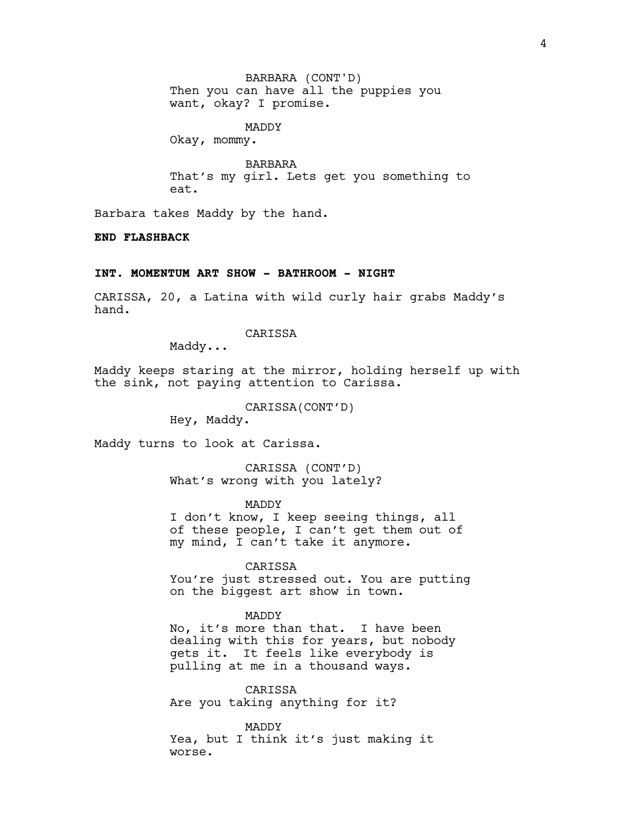Then you can have all the puppies you want, okay? I promise. BARBARA (CONT'D)

MADDY Okay, mommy.

BARBARA That's my girl. Lets get you something to eat.

Barbara takes Maddy by the hand.

**END FLASHBACK**

## **INT. MOMENTUM ART SHOW - BATHROOM - NIGHT**

CARISSA, 20, a Latina with wild curly hair grabs Maddy's hand.

CARISSA

Maddy...

Maddy keeps staring at the mirror, holding herself up with the sink, not paying attention to Carissa.

CARISSA(CONT'D)

Hey, Maddy.

Maddy turns to look at Carissa.

CARISSA (CONT'D) What's wrong with you lately?

MADDY

I don't know, I keep seeing things, all of these people, I can't get them out of my mind, I can't take it anymore.

CARISSA

You're just stressed out. You are putting on the biggest art show in town.

### MADDY

No, it's more than that. I have been dealing with this for years, but nobody gets it. It feels like everybody is pulling at me in a thousand ways.

CARISSA Are you taking anything for it?

MADDY Yea, but I think it's just making it worse.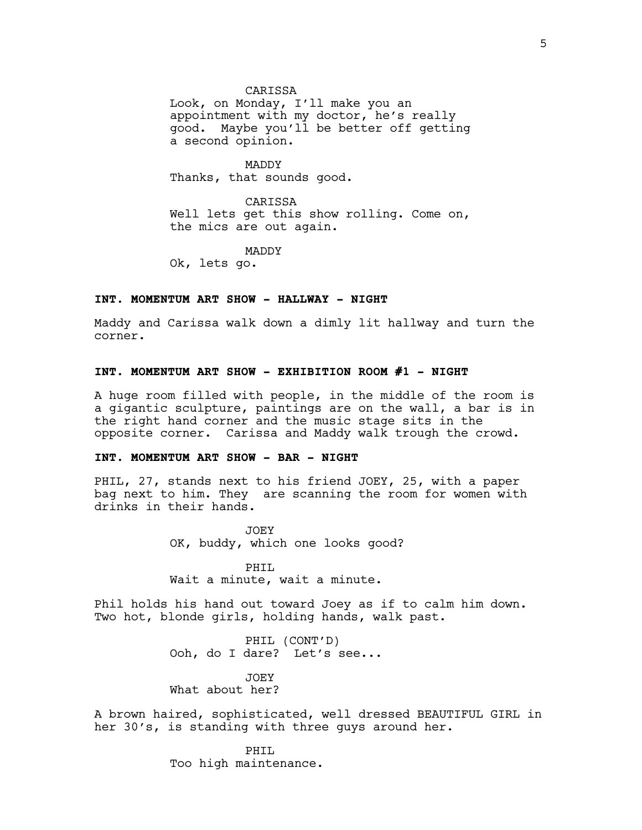CARISSA

Look, on Monday, I'll make you an appointment with my doctor, he's really good. Maybe you'll be better off getting a second opinion.

MADDY Thanks, that sounds good.

CARISSA Well lets get this show rolling. Come on, the mics are out again.

MADDY

Ok, lets go.

### **INT. MOMENTUM ART SHOW - HALLWAY - NIGHT**

Maddy and Carissa walk down a dimly lit hallway and turn the corner.

### **INT. MOMENTUM ART SHOW - EXHIBITION ROOM #1 - NIGHT**

A huge room filled with people, in the middle of the room is a gigantic sculpture, paintings are on the wall, a bar is in the right hand corner and the music stage sits in the opposite corner. Carissa and Maddy walk trough the crowd.

## **INT. MOMENTUM ART SHOW - BAR - NIGHT**

PHIL, 27, stands next to his friend JOEY, 25, with a paper bag next to him. They are scanning the room for women with drinks in their hands.

> JOEY OK, buddy, which one looks good?

PHIL Wait a minute, wait a minute.

Phil holds his hand out toward Joey as if to calm him down. Two hot, blonde girls, holding hands, walk past.

> PHIL (CONT'D) Ooh, do I dare? Let's see...

JOEY What about her?

A brown haired, sophisticated, well dressed BEAUTIFUL GIRL in her 30's, is standing with three guys around her.

> PHTT. Too high maintenance.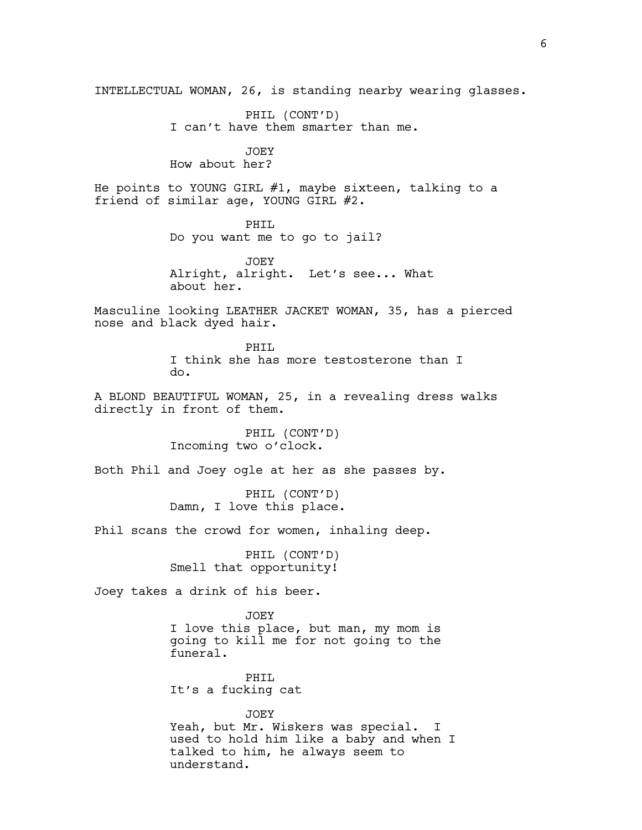INTELLECTUAL WOMAN, 26, is standing nearby wearing glasses. PHIL (CONT'D) I can't have them smarter than me. JOEY How about her? He points to YOUNG GIRL #1, maybe sixteen, talking to a friend of similar age, YOUNG GIRL #2. PHIL Do you want me to go to jail? JOEY Alright, alright. Let's see... What about her. Masculine looking LEATHER JACKET WOMAN, 35, has a pierced nose and black dyed hair. PHIL I think she has more testosterone than I do. A BLOND BEAUTIFUL WOMAN, 25, in a revealing dress walks directly in front of them. PHIL (CONT'D) Incoming two o'clock. Both Phil and Joey ogle at her as she passes by. PHIL (CONT'D) Damn, I love this place. Phil scans the crowd for women, inhaling deep. PHIL (CONT'D) Smell that opportunity! Joey takes a drink of his beer. JOEY I love this place, but man, my mom is going to kill me for not going to the funeral. PHIL It's a fucking cat JOEY Yeah, but Mr. Wiskers was special. I used to hold him like a baby and when I talked to him, he always seem to

understand.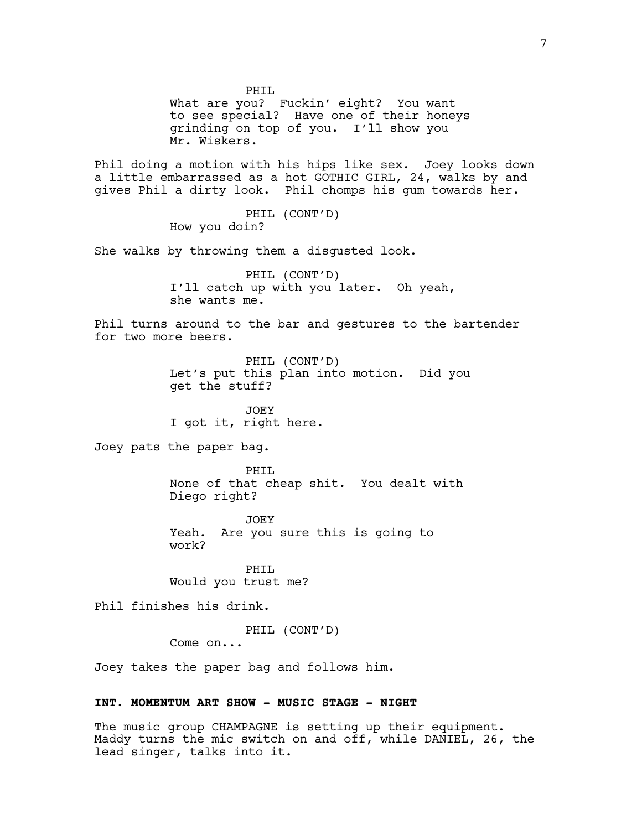PHIL What are you? Fuckin' eight? You want to see special? Have one of their honeys grinding on top of you. I'll show you Mr. Wiskers. Phil doing a motion with his hips like sex. Joey looks down a little embarrassed as a hot GOTHIC GIRL, 24, walks by and gives Phil a dirty look. Phil chomps his gum towards her. PHIL (CONT'D) How you doin? She walks by throwing them a disgusted look. PHIL (CONT'D) I'll catch up with you later. Oh yeah, she wants me. Phil turns around to the bar and gestures to the bartender for two more beers. PHIL (CONT'D) Let's put this plan into motion. Did you get the stuff? JOEY I got it, right here. Joey pats the paper bag. PHIL None of that cheap shit. You dealt with Diego right? JOEY Yeah. Are you sure this is going to work? PHIL Would you trust me? Phil finishes his drink. PHIL (CONT'D) Come on... Joey takes the paper bag and follows him. **INT. MOMENTUM ART SHOW - MUSIC STAGE - NIGHT** The music group CHAMPAGNE is setting up their equipment.

Maddy turns the mic switch on and off, while DANIEL, 26, the lead singer, talks into it.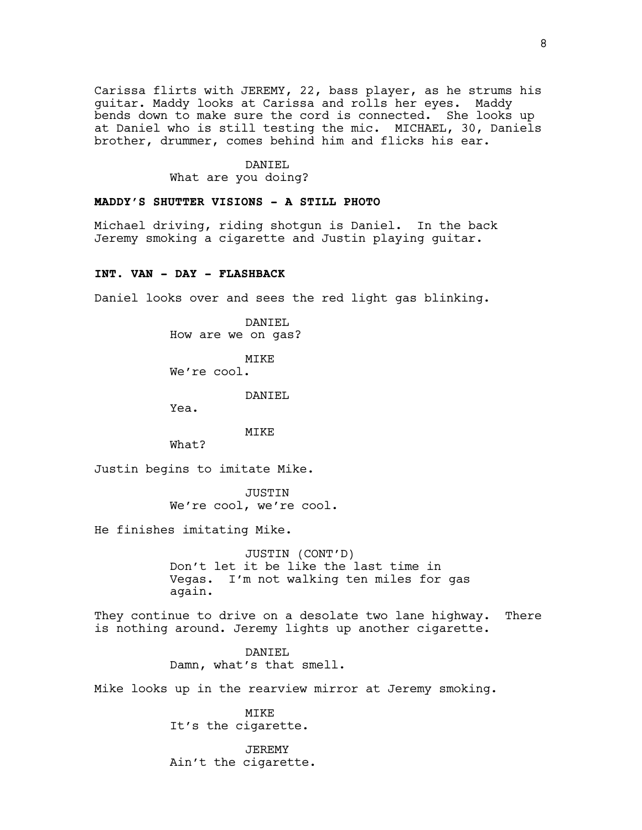Carissa flirts with JEREMY, 22, bass player, as he strums his guitar. Maddy looks at Carissa and rolls her eyes. Maddy bends down to make sure the cord is connected. She looks up at Daniel who is still testing the mic. MICHAEL, 30, Daniels brother, drummer, comes behind him and flicks his ear.

## DANIEL What are you doing?

## **MADDY'S SHUTTER VISIONS - A STILL PHOTO**

Michael driving, riding shotgun is Daniel. In the back Jeremy smoking a cigarette and Justin playing guitar.

## **INT. VAN - DAY - FLASHBACK**

Daniel looks over and sees the red light gas blinking.

DANIEL How are we on gas?

MIKE

We're cool.

DANIEL

Yea.

## MIKE

What?

Justin begins to imitate Mike.

JUSTIN We're cool, we're cool.

He finishes imitating Mike.

JUSTIN (CONT'D) Don't let it be like the last time in Vegas. I'm not walking ten miles for gas again.

They continue to drive on a desolate two lane highway. There is nothing around. Jeremy lights up another cigarette.

> DANIEL Damn, what's that smell.

Mike looks up in the rearview mirror at Jeremy smoking.

MIKE It's the cigarette.

JEREMY Ain't the cigarette.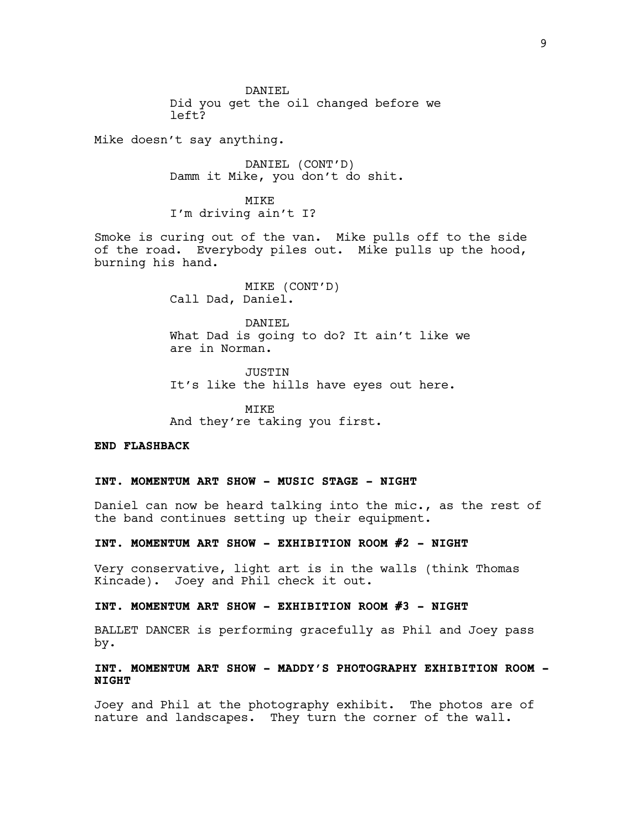DANIEL Did you get the oil changed before we left?

Mike doesn't say anything.

DANIEL (CONT'D) Damm it Mike, you don't do shit.

**MTKE** I'm driving ain't I?

Smoke is curing out of the van. Mike pulls off to the side of the road. Everybody piles out. Mike pulls up the hood, burning his hand.

> MIKE (CONT'D) Call Dad, Daniel.

DANIEL What Dad is going to do? It ain't like we are in Norman.

JUSTIN It's like the hills have eyes out here.

MIKE And they're taking you first.

**END FLASHBACK**

# **INT. MOMENTUM ART SHOW - MUSIC STAGE - NIGHT**

Daniel can now be heard talking into the mic., as the rest of the band continues setting up their equipment.

**INT. MOMENTUM ART SHOW - EXHIBITION ROOM #2 - NIGHT**

Very conservative, light art is in the walls (think Thomas Kincade). Joey and Phil check it out.

## **INT. MOMENTUM ART SHOW - EXHIBITION ROOM #3 - NIGHT**

BALLET DANCER is performing gracefully as Phil and Joey pass by.

# **INT. MOMENTUM ART SHOW - MADDY'S PHOTOGRAPHY EXHIBITION ROOM - NIGHT**

Joey and Phil at the photography exhibit. The photos are of nature and landscapes. They turn the corner of the wall.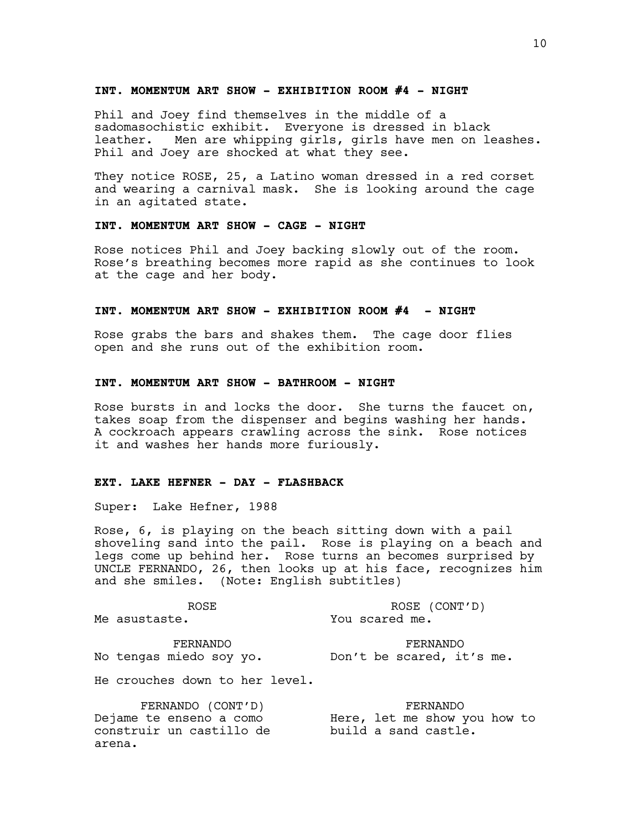#### **INT. MOMENTUM ART SHOW - EXHIBITION ROOM #4 - NIGHT**

Phil and Joey find themselves in the middle of a sadomasochistic exhibit. Everyone is dressed in black leather. Men are whipping girls, girls have men on leashes. Phil and Joey are shocked at what they see.

They notice ROSE, 25, a Latino woman dressed in a red corset and wearing a carnival mask. She is looking around the cage in an agitated state.

## **INT. MOMENTUM ART SHOW - CAGE - NIGHT**

Rose notices Phil and Joey backing slowly out of the room. Rose's breathing becomes more rapid as she continues to look at the cage and her body.

## **INT. MOMENTUM ART SHOW - EXHIBITION ROOM #4 - NIGHT**

Rose grabs the bars and shakes them. The cage door flies open and she runs out of the exhibition room.

### **INT. MOMENTUM ART SHOW - BATHROOM - NIGHT**

Rose bursts in and locks the door. She turns the faucet on, takes soap from the dispenser and begins washing her hands. A cockroach appears crawling across the sink. Rose notices it and washes her hands more furiously.

### **EXT. LAKE HEFNER - DAY - FLASHBACK**

Super: Lake Hefner, 1988

Rose, 6, is playing on the beach sitting down with a pail shoveling sand into the pail. Rose is playing on a beach and legs come up behind her. Rose turns an becomes surprised by UNCLE FERNANDO, 26, then looks up at his face, recognizes him and she smiles. (Note: English subtitles)

ROSE Me asustaste.

ROSE (CONT'D) You scared me.

FERNANDO No tengas miedo soy yo. Don't be scared, it's me.

He crouches down to her level.

FERNANDO (CONT'D) Dejame te enseno a como construir un castillo de arena.

FERNANDO Here, let me show you how to build a sand castle.

FERNANDO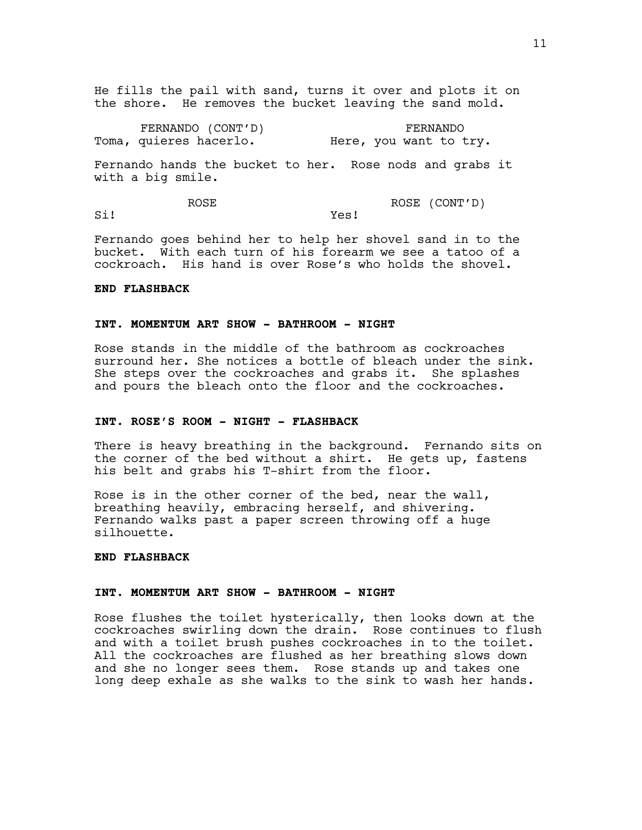He fills the pail with sand, turns it over and plots it on the shore. He removes the bucket leaving the sand mold.

FERNANDO (CONT'D) Toma, quieres hacerlo. FERNANDO Here, you want to try.

Fernando hands the bucket to her. Rose nods and grabs it with a big smile.

ROSE Si! ROSE (CONT'D) Yes!

Fernando goes behind her to help her shovel sand in to the bucket. With each turn of his forearm we see a tatoo of a cockroach. His hand is over Rose's who holds the shovel.

## **END FLASHBACK**

#### **INT. MOMENTUM ART SHOW - BATHROOM - NIGHT**

Rose stands in the middle of the bathroom as cockroaches surround her. She notices a bottle of bleach under the sink. She steps over the cockroaches and grabs it. She splashes and pours the bleach onto the floor and the cockroaches.

# **INT. ROSE'S ROOM - NIGHT - FLASHBACK**

There is heavy breathing in the background. Fernando sits on the corner of the bed without a shirt. He gets up, fastens his belt and grabs his T-shirt from the floor.

Rose is in the other corner of the bed, near the wall, breathing heavily, embracing herself, and shivering. Fernando walks past a paper screen throwing off a huge silhouette.

## **END FLASHBACK**

### **INT. MOMENTUM ART SHOW - BATHROOM - NIGHT**

Rose flushes the toilet hysterically, then looks down at the cockroaches swirling down the drain. Rose continues to flush and with a toilet brush pushes cockroaches in to the toilet. All the cockroaches are flushed as her breathing slows down and she no longer sees them. Rose stands up and takes one long deep exhale as she walks to the sink to wash her hands.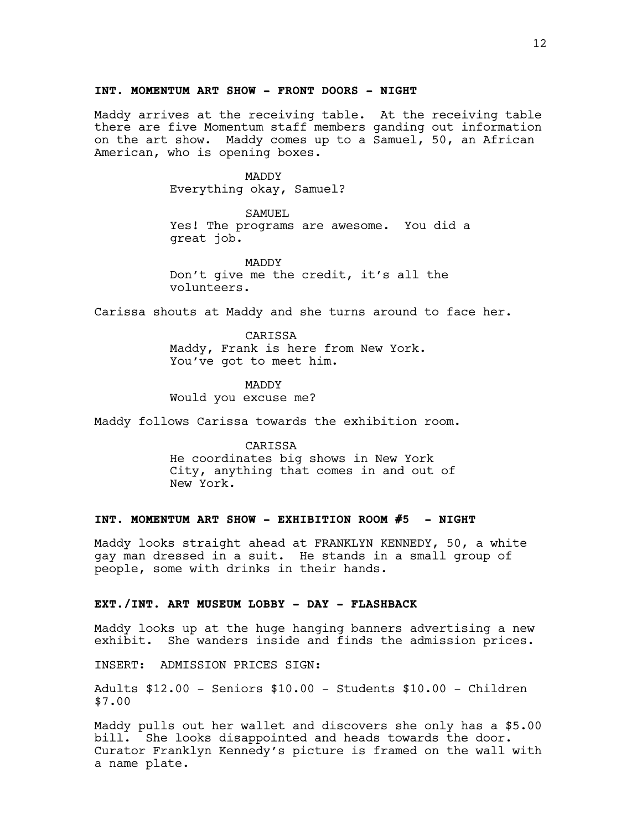#### **INT. MOMENTUM ART SHOW - FRONT DOORS - NIGHT**

Maddy arrives at the receiving table. At the receiving table there are five Momentum staff members ganding out information on the art show. Maddy comes up to a Samuel, 50, an African American, who is opening boxes.

> MADDY Everything okay, Samuel?

SAMUEL Yes! The programs are awesome. You did a great job.

MADDY Don't give me the credit, it's all the volunteers.

Carissa shouts at Maddy and she turns around to face her.

**CARTSSA** Maddy, Frank is here from New York. You've got to meet him.

MADDY Would you excuse me?

Maddy follows Carissa towards the exhibition room.

**CARTSSA** He coordinates big shows in New York City, anything that comes in and out of New York.

## **INT. MOMENTUM ART SHOW - EXHIBITION ROOM #5 - NIGHT**

Maddy looks straight ahead at FRANKLYN KENNEDY, 50, a white gay man dressed in a suit. He stands in a small group of people, some with drinks in their hands.

### **EXT./INT. ART MUSEUM LOBBY - DAY - FLASHBACK**

Maddy looks up at the huge hanging banners advertising a new exhibit. She wanders inside and finds the admission prices.

INSERT: ADMISSION PRICES SIGN:

Adults \$12.00 - Seniors \$10.00 - Students \$10.00 - Children \$7.00

Maddy pulls out her wallet and discovers she only has a \$5.00 bill. She looks disappointed and heads towards the door. Curator Franklyn Kennedy's picture is framed on the wall with a name plate.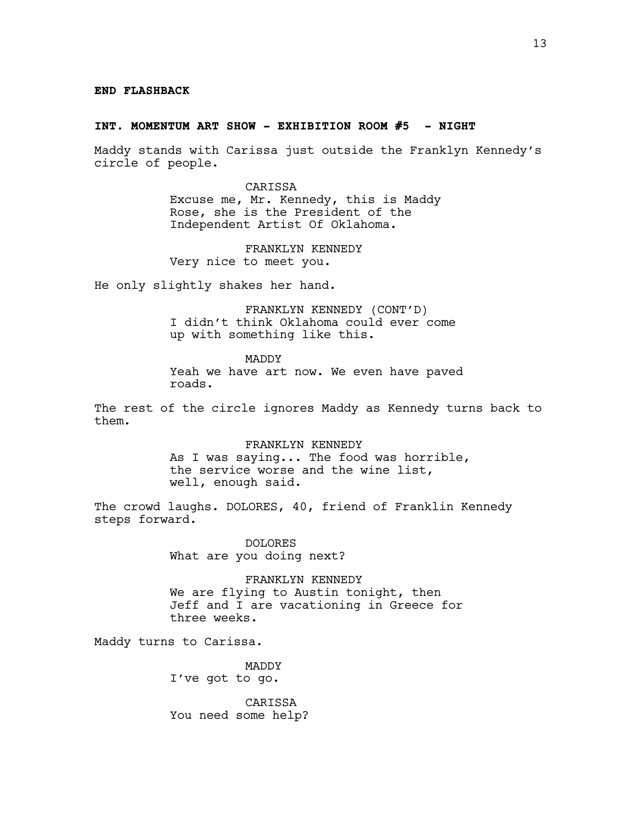#### **END FLASHBACK**

#### **INT. MOMENTUM ART SHOW - EXHIBITION ROOM #5 - NIGHT**

Maddy stands with Carissa just outside the Franklyn Kennedy's circle of people.

> CARISSA Excuse me, Mr. Kennedy, this is Maddy Rose, she is the President of the Independent Artist Of Oklahoma.

FRANKLYN KENNEDY Very nice to meet you.

He only slightly shakes her hand.

FRANKLYN KENNEDY (CONT'D) I didn't think Oklahoma could ever come up with something like this.

MADDY Yeah we have art now. We even have paved roads.

The rest of the circle ignores Maddy as Kennedy turns back to them.

> FRANKLYN KENNEDY As I was saying... The food was horrible, the service worse and the wine list, well, enough said.

The crowd laughs. DOLORES, 40, friend of Franklin Kennedy steps forward.

> DOLORES What are you doing next?

FRANKLYN KENNEDY We are flying to Austin tonight, then Jeff and I are vacationing in Greece for three weeks.

Maddy turns to Carissa.

MADDY I've got to go.

CARISSA You need some help?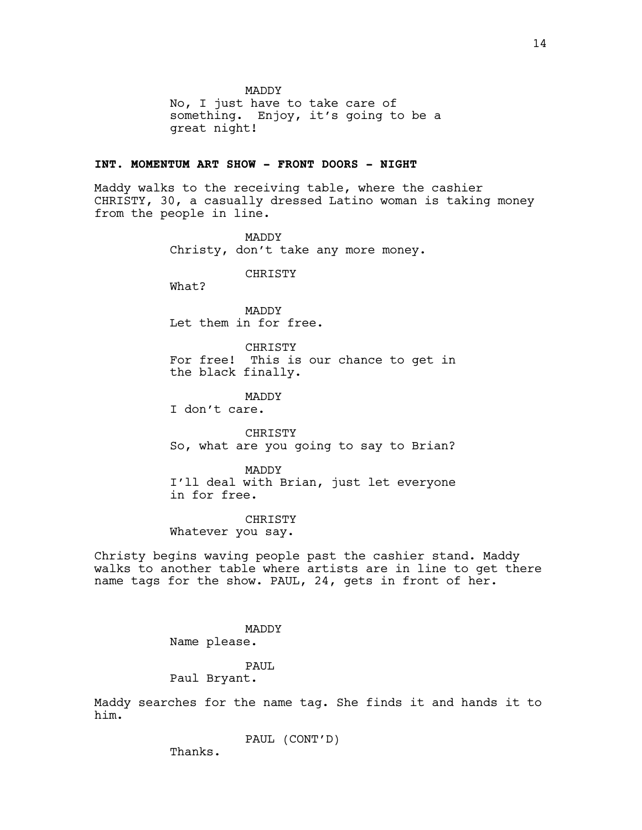MADDY

No, I just have to take care of something. Enjoy, it's going to be a great night!

### **INT. MOMENTUM ART SHOW - FRONT DOORS - NIGHT**

Maddy walks to the receiving table, where the cashier CHRISTY, 30, a casually dressed Latino woman is taking money from the people in line.

> MADDY Christy, don't take any more money.

> > CHRISTY

What?

MADDY Let them in for free.

CHRISTY For free! This is our chance to get in the black finally.

MADDY

I don't care.

CHRISTY So, what are you going to say to Brian?

MADDY I'll deal with Brian, just let everyone in for free.

CHRISTY Whatever you say.

Christy begins waving people past the cashier stand. Maddy walks to another table where artists are in line to get there name tags for the show. PAUL, 24, gets in front of her.

> MADDY Name please.

## PAUL

Paul Bryant.

Maddy searches for the name tag. She finds it and hands it to him.

PAUL (CONT'D)

Thanks.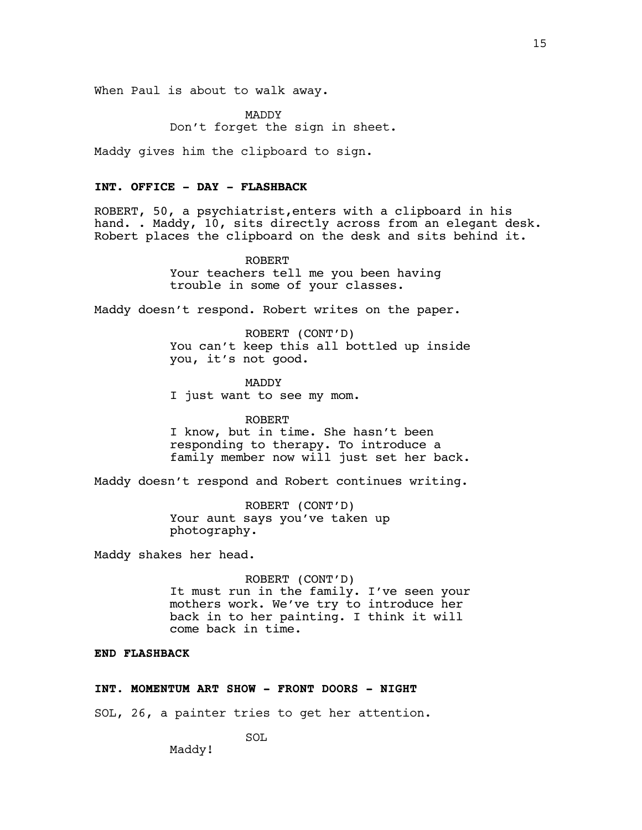When Paul is about to walk away.

MADDY Don't forget the sign in sheet.

Maddy gives him the clipboard to sign.

## **INT. OFFICE - DAY - FLASHBACK**

ROBERT, 50, a psychiatrist,enters with a clipboard in his hand. . Maddy, 10, sits directly across from an elegant desk. Robert places the clipboard on the desk and sits behind it.

> ROBERT Your teachers tell me you been having trouble in some of your classes.

Maddy doesn't respond. Robert writes on the paper.

ROBERT (CONT'D) You can't keep this all bottled up inside you, it's not good.

MADDY I just want to see my mom.

ROBERT I know, but in time. She hasn't been responding to therapy. To introduce a family member now will just set her back.

Maddy doesn't respond and Robert continues writing.

ROBERT (CONT'D) Your aunt says you've taken up photography.

Maddy shakes her head.

ROBERT (CONT'D) It must run in the family. I've seen your mothers work. We've try to introduce her back in to her painting. I think it will come back in time.

## **END FLASHBACK**

## **INT. MOMENTUM ART SHOW - FRONT DOORS - NIGHT**

SOL, 26, a painter tries to get her attention.

SOL

Maddy!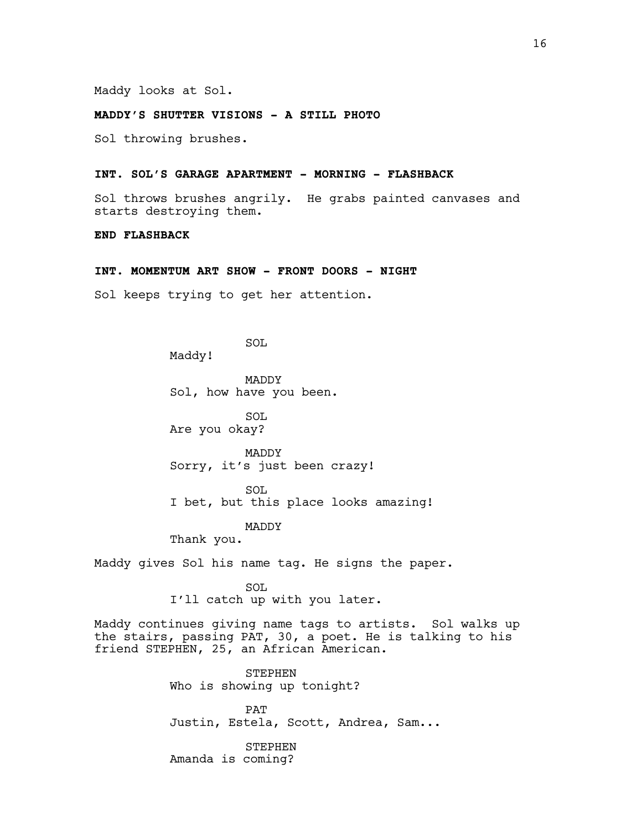Maddy looks at Sol.

## **MADDY'S SHUTTER VISIONS - A STILL PHOTO**

Sol throwing brushes.

#### **INT. SOL'S GARAGE APARTMENT - MORNING - FLASHBACK**

Sol throws brushes angrily. He grabs painted canvases and starts destroying them.

### **END FLASHBACK**

## **INT. MOMENTUM ART SHOW - FRONT DOORS - NIGHT**

Sol keeps trying to get her attention.

SOL

Maddy!

MADDY Sol, how have you been.

SOL Are you okay?

MADDY Sorry, it's just been crazy!

SOL I bet, but this place looks amazing!

MADDY

Thank you.

Maddy gives Sol his name tag. He signs the paper.

SOL I'll catch up with you later.

Maddy continues giving name tags to artists. Sol walks up the stairs, passing PAT, 30, a poet. He is talking to his friend STEPHEN, 25, an African American.

> STEPHEN Who is showing up tonight?

PAT Justin, Estela, Scott, Andrea, Sam...

STEPHEN Amanda is coming?